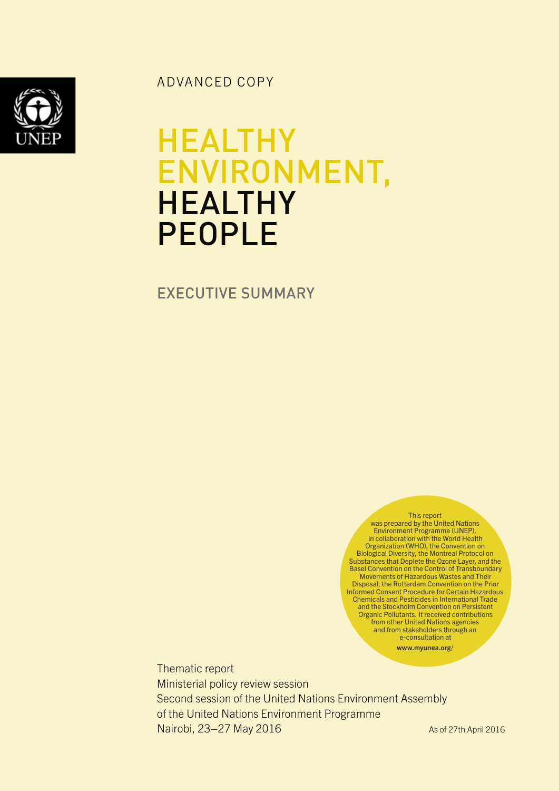ADVANCED COPY

## **HEALTHY** ENVIRONMENT, **HEALTHY** PEOPLE

EXECUTIVE SUMMARY

This report was prepared by the United Nations Environment Programme (UNEP), in collaboration with the World Health Organization (WHO), the Convention on Biological Diversity, the Montreal Protocol on Substances that Deplete the Ozone Layer, and the Basel Convention on the Control of Transboundary Movements of Hazardous Wastes and Their Disposal, the Rotterdam Convention on the Prior Informed Consent Procedure for Certain Hazardous Chemicals and Pesticides in International Trade and the Stockholm Convention on Persistent Organic Pollutants. It received contributions from other United Nations agencies and from stakeholders through an e-consultation at www.myunea.org/

Thematic report Ministerial policy review session Second session of the United Nations Environment Assembly of the United Nations Environment Programme Nairobi, 23–27 May 2016 As of 27th April 2016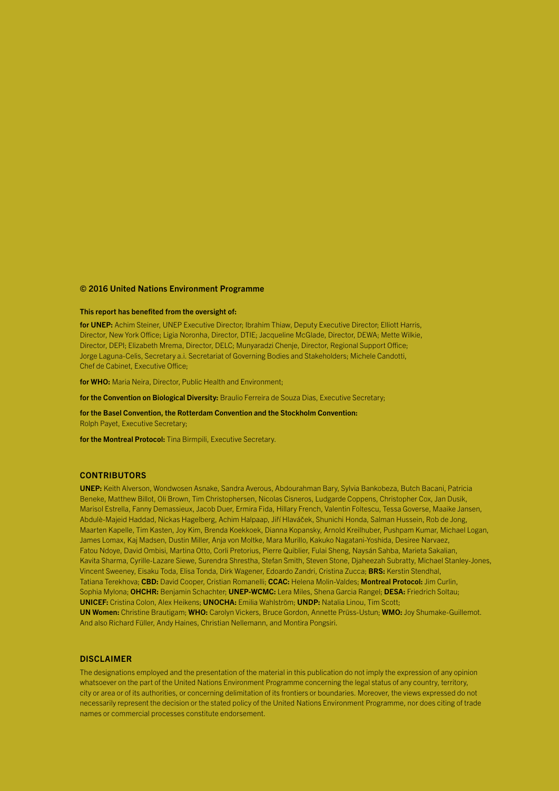#### © 2016 United Nations Environment Programme

#### This report has benefited from the oversight of:

for UNEP: Achim Steiner, UNEP Executive Director; Ibrahim Thiaw, Deputy Executive Director; Elliott Harris, Director, New York Office; Ligia Noronha, Director, DTIE; Jacqueline McGlade, Director, DEWA; Mette Wilkie, Director, DEPI; Elizabeth Mrema, Director, DELC; Munyaradzi Chenje, Director, Regional Support Office; Jorge Laguna-Celis, Secretary a.i. Secretariat of Governing Bodies and Stakeholders; Michele Candotti, Chef de Cabinet, Executive Office;

for WHO: Maria Neira, Director, Public Health and Environment;

for the Convention on Biological Diversity: Braulio Ferreira de Souza Dias, Executive Secretary;

for the Basel Convention, the Rotterdam Convention and the Stockholm Convention: Rolph Payet, Executive Secretary;

for the Montreal Protocol: Tina Birmpili, Executive Secretary.

#### **CONTRIBUTORS**

UNEP: Keith Alverson, Wondwosen Asnake, Sandra Averous, Abdourahman Bary, Sylvia Bankobeza, Butch Bacani, Patricia Beneke, Matthew Billot, Oli Brown, Tim Christophersen, Nicolas Cisneros, Ludgarde Coppens, Christopher Cox, Jan Dusik, Marisol Estrella, Fanny Demassieux, Jacob Duer, Ermira Fida, Hillary French, Valentin Foltescu, Tessa Goverse, Maaike Jansen, Abdulè-Majeid Haddad, Nickas Hagelberg, Achim Halpaap, Jiří Hlaváček, Shunichi Honda, Salman Hussein, Rob de Jong, Maarten Kapelle, Tim Kasten, Joy Kim, Brenda Koekkoek, Dianna Kopansky, Arnold Kreilhuber, Pushpam Kumar, Michael Logan, James Lomax, Kaj Madsen, Dustin Miller, Anja von Moltke, Mara Murillo, Kakuko Nagatani-Yoshida, Desiree Narvaez, Fatou Ndoye, David Ombisi, Martina Otto, Corli Pretorius, Pierre Quiblier, Fulai Sheng, Naysán Sahba, Marieta Sakalian, Kavita Sharma, Cyrille-Lazare Siewe, Surendra Shrestha, Stefan Smith, Steven Stone, Djaheezah Subratty, Michael Stanley-Jones, Vincent Sweeney, Eisaku Toda, Elisa Tonda, Dirk Wagener, Edoardo Zandri, Cristina Zucca; BRS: Kerstin Stendhal, Tatiana Terekhova; CBD: David Cooper, Cristian Romanelli; CCAC: Helena Molin-Valdes; Montreal Protocol: Jim Curlin, Sophia Mylona; OHCHR: Benjamin Schachter; UNEP-WCMC: Lera Miles, Shena Garcia Rangel; DESA: Friedrich Soltau; UNICEF: Cristina Colon, Alex Heikens; UNOCHA: Emilia Wahlström; UNDP: Natalia Linou, Tim Scott; UN Women: Christine Brautigam; WHO: Carolyn Vickers, Bruce Gordon, Annette Prüss-Ustun; WMO: Joy Shumake-Guillemot. And also Richard Füller, Andy Haines, Christian Nellemann, and Montira Pongsiri.

#### DISCLAIMER

The designations employed and the presentation of the material in this publication do not imply the expression of any opinion whatsoever on the part of the United Nations Environment Programme concerning the legal status of any country, territory, city or area or of its authorities, or concerning delimitation of its frontiers or boundaries. Moreover, the views expressed do not necessarily represent the decision or the stated policy of the United Nations Environment Programme, nor does citing of trade names or commercial processes constitute endorsement.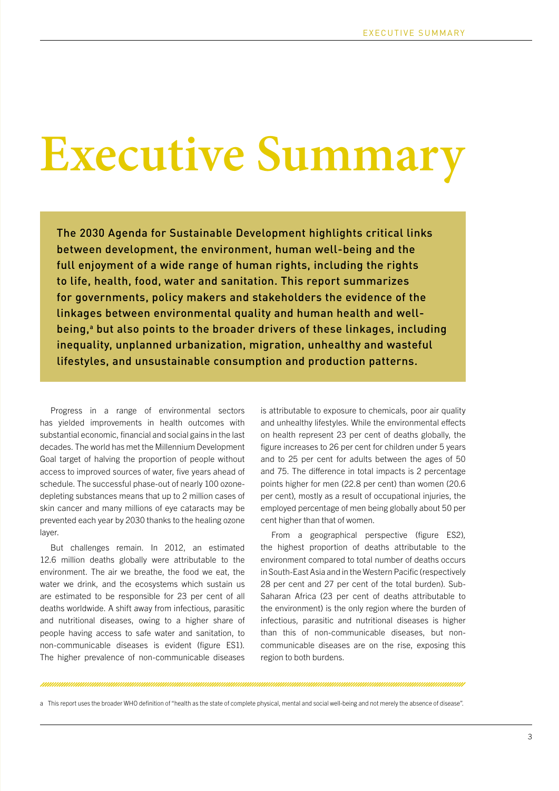# **Executive Summary**

The 2030 Agenda for Sustainable Development highlights critical links between development, the environment, human well-being and the full enjoyment of a wide range of human rights, including the rights to life, health, food, water and sanitation. This report summarizes for governments, policy makers and stakeholders the evidence of the linkages between environmental quality and human health and wellbeing,<sup>a</sup> but also points to the broader drivers of these linkages, including inequality, unplanned urbanization, migration, unhealthy and wasteful lifestyles, and unsustainable consumption and production patterns.

Progress in a range of environmental sectors has yielded improvements in health outcomes with substantial economic, financial and social gains in the last decades. The world has met the Millennium Development Goal target of halving the proportion of people without access to improved sources of water, five years ahead of schedule. The successful phase-out of nearly 100 ozonedepleting substances means that up to 2 million cases of skin cancer and many millions of eye cataracts may be prevented each year by 2030 thanks to the healing ozone layer.

But challenges remain. In 2012, an estimated 12.6 million deaths globally were attributable to the environment. The air we breathe, the food we eat, the water we drink, and the ecosystems which sustain us are estimated to be responsible for 23 per cent of all deaths worldwide. A shift away from infectious, parasitic and nutritional diseases, owing to a higher share of people having access to safe water and sanitation, to non-communicable diseases is evident (figure ES1). The higher prevalence of non-communicable diseases is attributable to exposure to chemicals, poor air quality and unhealthy lifestyles. While the environmental effects on health represent 23 per cent of deaths globally, the figure increases to 26 per cent for children under 5 years and to 25 per cent for adults between the ages of 50 and 75. The difference in total impacts is 2 percentage points higher for men (22.8 per cent) than women (20.6 per cent), mostly as a result of occupational injuries, the employed percentage of men being globally about 50 per cent higher than that of women.

From a geographical perspective (figure ES2), the highest proportion of deaths attributable to the environment compared to total number of deaths occurs in South-East Asia and in the Western Pacific (respectively 28 per cent and 27 per cent of the total burden). Sub-Saharan Africa (23 per cent of deaths attributable to the environment) is the only region where the burden of infectious, parasitic and nutritional diseases is higher than this of non-communicable diseases, but noncommunicable diseases are on the rise, exposing this region to both burdens.

a This report uses the broader WHO definition of "health as the state of complete physical, mental and social well-being and not merely the absence of disease".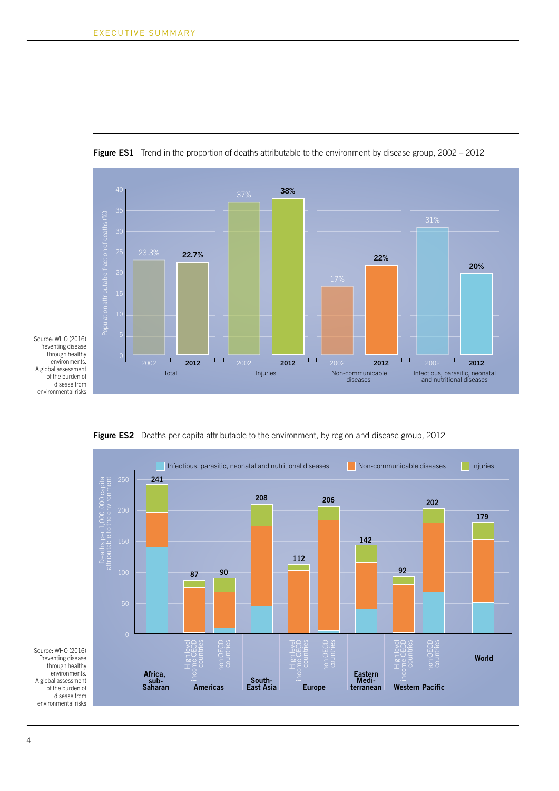

**Figure ES1** Trend in the proportion of deaths attributable to the environment by disease group, 2002 – 2012

Source: WHO (2016) Preventing disease through healthy environments. A global assessment of the burden of disease from environmental risks





4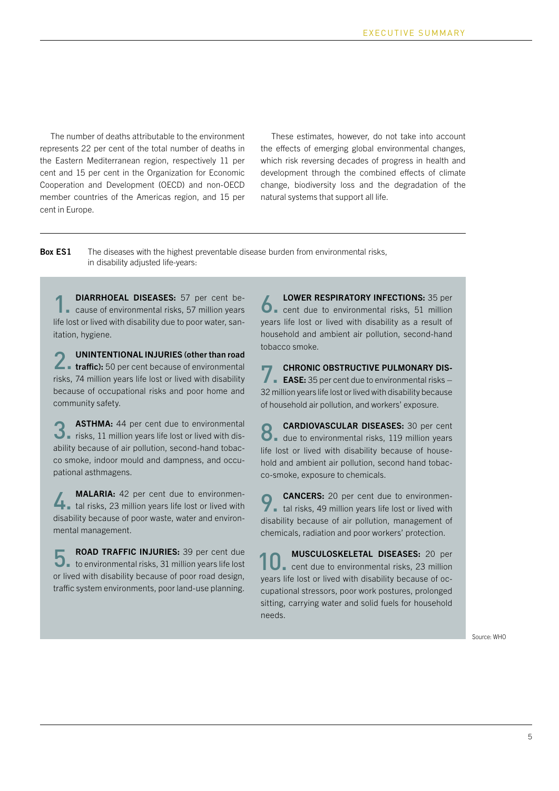The number of deaths attributable to the environment represents 22 per cent of the total number of deaths in the Eastern Mediterranean region, respectively 11 per cent and 15 per cent in the Organization for Economic Cooperation and Development (OECD) and non-OECD member countries of the Americas region, and 15 per cent in Europe.

These estimates, however, do not take into account the effects of emerging global environmental changes, which risk reversing decades of progress in health and development through the combined effects of climate change, biodiversity loss and the degradation of the natural systems that support all life.

**Box ES1** The diseases with the highest preventable disease burden from environmental risks, in disability adjusted life-years:

DIARRHOEAL DISEASES: 57 per cent be-**DIARRHOEAL DISEASES:** 57 per cent be-<br>
cause of environmental risks, 57 million years life lost or lived with disability due to poor water, sanitation, hygiene.

UNINTENTIONAL INJURIES (other than road **2** UNINTENTIONAL INJURIES (other than road<br>
1 traffic): 50 per cent because of environmental risks, 74 million years life lost or lived with disability because of occupational risks and poor home and community safety.

ASTHMA: 44 per cent due to environmental **3.** ASTHMA: 44 per cent due to environmental<br> **3.** risks, 11 million years life lost or lived with disability because of air pollution, second-hand tobacco smoke, indoor mould and dampness, and occupational asthmagens.

MALARIA: 42 per cent due to environmen-**MALARIA:** 42 per cent due to environmen-<br> **4.** tal risks, 23 million years life lost or lived with disability because of poor waste, water and environmental management.

ROAD TRAFFIC INJURIES: 39 per cent due ROAD TRAFFIC INJURIES: 39 per cent due<br> **5.** to environmental risks, 31 million years life lost or lived with disability because of poor road design, traffic system environments, poor land-use planning.

LOWER RESPIRATORY INFECTIONS: 35 per **O**. cent due to environmental risks, 51 million years life lost or lived with disability as a result of household and ambient air pollution, second-hand tobacco smoke.

CHRONIC OBSTRUCTIVE PULMONARY DIS-**CHRONIC OBSTRUCTIVE PULMONARY DIS-**<br>**EASE:** 35 per cent due to environmental risks – 32 million years life lost or lived with disability because of household air pollution, and workers' exposure.

CARDIOVASCULAR DISEASES: 30 per cent **8. CARDIOVASCULAR DISEASES:** 30 per cent<br>
8. due to environmental risks, 119 million years life lost or lived with disability because of household and ambient air pollution, second hand tobacco-smoke, exposure to chemicals.

CANCERS: 20 per cent due to environmen-**CANCERS:** 20 per cent due to environmental risks, 49 million years life lost or lived with disability because of air pollution, management of chemicals, radiation and poor workers' protection.

MUSCULOSKELETAL DISEASES: 20 per cent due to environmental risks, 23 million years life lost or lived with disability because of occupational stressors, poor work postures, prolonged sitting, carrying water and solid fuels for household needs. 10.

Source: WHO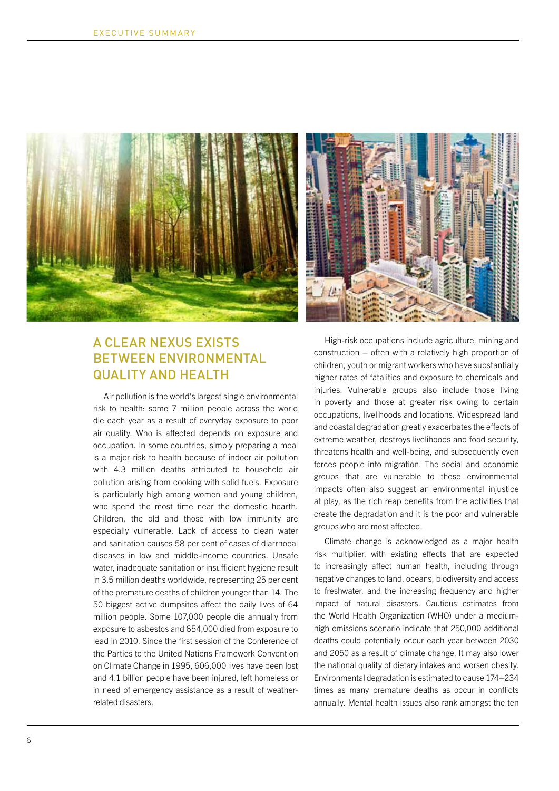



#### A CLEAR NEXUS EXISTS BETWEEN ENVIRONMENTAL QUALITY AND HEALTH

Air pollution is the world's largest single environmental risk to health: some 7 million people across the world die each year as a result of everyday exposure to poor air quality. Who is affected depends on exposure and occupation. In some countries, simply preparing a meal is a major risk to health because of indoor air pollution with 4.3 million deaths attributed to household air pollution arising from cooking with solid fuels. Exposure is particularly high among women and young children, who spend the most time near the domestic hearth. Children, the old and those with low immunity are especially vulnerable. Lack of access to clean water and sanitation causes 58 per cent of cases of diarrhoeal diseases in low and middle-income countries. Unsafe water, inadequate sanitation or insufficient hygiene result in 3.5 million deaths worldwide, representing 25 per cent of the premature deaths of children younger than 14. The 50 biggest active dumpsites affect the daily lives of 64 million people. Some 107,000 people die annually from exposure to asbestos and 654,000 died from exposure to lead in 2010. Since the first session of the Conference of the Parties to the United Nations Framework Convention on Climate Change in 1995, 606,000 lives have been lost and 4.1 billion people have been injured, left homeless or in need of emergency assistance as a result of weatherrelated disasters.

High-risk occupations include agriculture, mining and construction – often with a relatively high proportion of children, youth or migrant workers who have substantially higher rates of fatalities and exposure to chemicals and injuries. Vulnerable groups also include those living in poverty and those at greater risk owing to certain occupations, livelihoods and locations. Widespread land and coastal degradation greatly exacerbates the effects of extreme weather, destroys livelihoods and food security, threatens health and well-being, and subsequently even forces people into migration. The social and economic groups that are vulnerable to these environmental impacts often also suggest an environmental injustice at play, as the rich reap benefits from the activities that create the degradation and it is the poor and vulnerable groups who are most affected.

Climate change is acknowledged as a major health risk multiplier, with existing effects that are expected to increasingly affect human health, including through negative changes to land, oceans, biodiversity and access to freshwater, and the increasing frequency and higher impact of natural disasters. Cautious estimates from the World Health Organization (WHO) under a mediumhigh emissions scenario indicate that 250,000 additional deaths could potentially occur each year between 2030 and 2050 as a result of climate change. It may also lower the national quality of dietary intakes and worsen obesity. Environmental degradation is estimated to cause 174–234 times as many premature deaths as occur in conflicts annually. Mental health issues also rank amongst the ten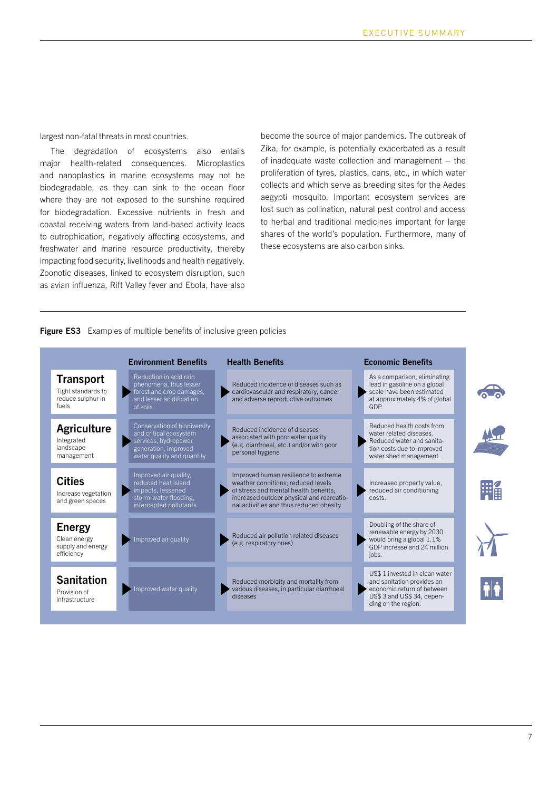#### largest non-fatal threats in most countries.

The degradation of ecosystems also entails major health-related consequences. Microplastics and nanoplastics in marine ecosystems may not be biodegradable, as they can sink to the ocean floor where they are not exposed to the sunshine required for biodegradation. Excessive nutrients in fresh and coastal receiving waters from land-based activity leads to eutrophication, negatively affecting ecosystems, and freshwater and marine resource productivity, thereby impacting food security, livelihoods and health negatively. Zoonotic diseases, linked to ecosystem disruption, such as avian influenza, Rift Valley fever and Ebola, have also become the source of major pandemics. The outbreak of Zika, for example, is potentially exacerbated as a result of inadequate waste collection and management  $-$  the proliferation of tyres, plastics, cans, etc., in which water collects and which serve as breeding sites for the Aedes aegypti mosquito. Important ecosystem services are lost such as pollination, natural pest control and access to herbal and traditional medicines important for large shares of the world's population. Furthermore, many of these ecosystems are also carbon sinks.

#### **Figure ES3** Examples of multiple benefits of inclusive green policies

|                                                                      | <b>Environment Benefits</b>                                                                                                          | <b>Health Benefits</b>                                                                                                                                                                                      | <b>Economic Benefits</b>                                                                                                                        |   |
|----------------------------------------------------------------------|--------------------------------------------------------------------------------------------------------------------------------------|-------------------------------------------------------------------------------------------------------------------------------------------------------------------------------------------------------------|-------------------------------------------------------------------------------------------------------------------------------------------------|---|
| <b>Transport</b><br>Tight standards to<br>reduce sulphur in<br>fuels | Reduction in acid rain<br>phenomena, thus lesser<br>forest and crop damages.<br>and lesser acidification<br>of soils                 | Reduced incidence of diseases such as<br>cardiovascular and respiratory, cancer<br>and adverse reproductive outcomes                                                                                        | As a comparison, eliminating<br>lead in gasoline on a global<br>scale have been estimated<br>at approximately 4% of global<br>GDP.              |   |
| <b>Agriculture</b><br>Integrated<br>landscape<br>management          | Conservation of biodiversity<br>and critical ecosystem<br>services, hydropower<br>generation, improved<br>water quality and quantity | Reduced incidence of diseases<br>associated with poor water quality<br>(e.g. diarrhoeal, etc.) and/or with poor<br>personal hygiene                                                                         | Reduced health costs from<br>water related diseases.<br>Reduced water and sanita-<br>tion costs due to improved<br>water shed management.       |   |
| <b>Cities</b><br>Increase vegetation<br>and green spaces             | Improved air quality,<br>reduced heat island<br>impacts, lessened<br>storm-water flooding,<br>intercepted pollutants                 | Improved human resilience to extreme<br>weather conditions: reduced levels<br>of stress and mental health benefits;<br>increased outdoor physical and recreatio-<br>nal activities and thus reduced obesity | Increased property value,<br>reduced air conditioning<br>costs.                                                                                 | 輔 |
| <b>Energy</b><br>Clean energy<br>supply and energy<br>efficiency     | Improved air quality                                                                                                                 | Reduced air pollution related diseases<br>(e.g. respiratory ones)                                                                                                                                           | Doubling of the share of<br>renewable energy by 2030<br>would bring a global 1.1%<br>GDP increase and 24 million<br>jobs.                       |   |
| <b>Sanitation</b><br>Provision of<br>infrastructure                  | Improved water quality                                                                                                               | Reduced morbidity and mortality from<br>various diseases, in particular diarrhoeal<br>diseases                                                                                                              | US\$ 1 invested in clean water<br>and sanitation provides an<br>economic return of between<br>US\$ 3 and US\$ 34, depen-<br>ding on the region. |   |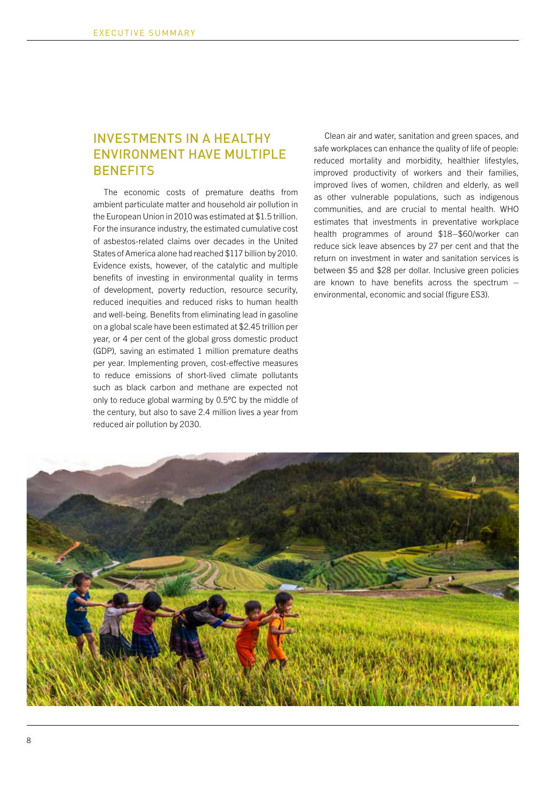#### INVESTMENTS IN A HEALTHY ENVIRONMENT HAVE MULTIPLE **BENEFITS**

The economic costs of premature deaths from ambient particulate matter and household air pollution in the European Union in 2010 was estimated at \$1.5 trillion. For the insurance industry, the estimated cumulative cost of asbestos-related claims over decades in the United States of America alone had reached \$117 billion by 2010. Evidence exists, however, of the catalytic and multiple benefits of investing in environmental quality in terms of development, poverty reduction, resource security, reduced inequities and reduced risks to human health and well-being. Benefits from eliminating lead in gasoline on a global scale have been estimated at \$2.45 trillion per year, or 4 per cent of the global gross domestic product (GDP), saving an estimated 1 million premature deaths per year. Implementing proven, cost-effective measures to reduce emissions of short-lived climate pollutants such as black carbon and methane are expected not only to reduce global warming by 0.5°C by the middle of the century, but also to save 2.4 million lives a year from reduced air pollution by 2030.

Clean air and water, sanitation and green spaces, and safe workplaces can enhance the quality of life of people: reduced mortality and morbidity, healthier lifestyles, improved productivity of workers and their families, improved lives of women, children and elderly, as well as other vulnerable populations, such as indigenous communities, and are crucial to mental health. WHO estimates that investments in preventative workplace health programmes of around \$18–\$60/worker can reduce sick leave absences by 27 per cent and that the return on investment in water and sanitation services is between \$5 and \$28 per dollar. Inclusive green policies are known to have benefits across the spectrum – environmental, economic and social (figure ES3).

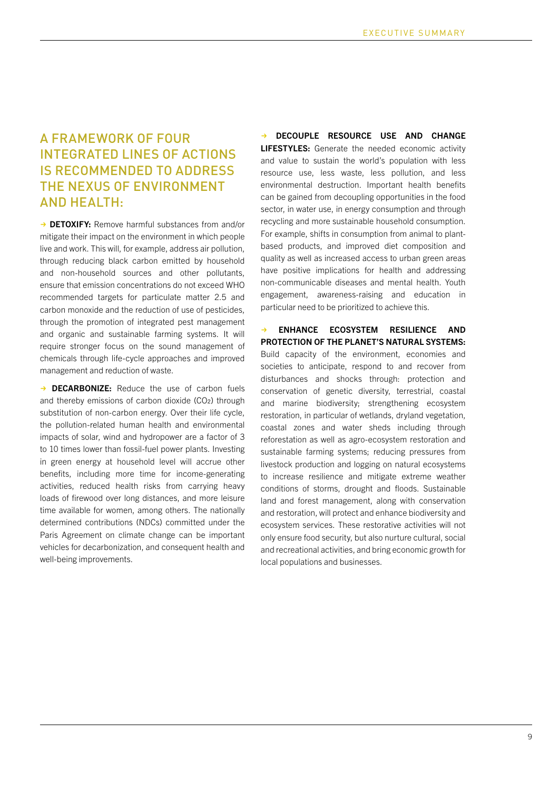#### A FRAMEWORK OF FOUR INTEGRATED LINES OF ACTIONS IS RECOMMENDED TO ADDRESS THE NEXUS OF ENVIRONMENT AND HEALTH:

→ DETOXIFY: Remove harmful substances from and/or mitigate their impact on the environment in which people live and work. This will, for example, address air pollution, through reducing black carbon emitted by household and non-household sources and other pollutants, ensure that emission concentrations do not exceed WHO recommended targets for particulate matter 2.5 and carbon monoxide and the reduction of use of pesticides, through the promotion of integrated pest management and organic and sustainable farming systems. It will require stronger focus on the sound management of chemicals through life-cycle approaches and improved management and reduction of waste.

 $\rightarrow$  DECARBONIZE: Reduce the use of carbon fuels and thereby emissions of carbon dioxide (CO2) through substitution of non-carbon energy. Over their life cycle, the pollution-related human health and environmental impacts of solar, wind and hydropower are a factor of 3 to 10 times lower than fossil-fuel power plants. Investing in green energy at household level will accrue other benefits, including more time for income-generating activities, reduced health risks from carrying heavy loads of firewood over long distances, and more leisure time available for women, among others. The nationally determined contributions (NDCs) committed under the Paris Agreement on climate change can be important vehicles for decarbonization, and consequent health and well-being improvements.

DECOUPLE RESOURCE USE AND CHANGE **LIFESTYLES:** Generate the needed economic activity and value to sustain the world's population with less resource use, less waste, less pollution, and less environmental destruction. Important health benefits can be gained from decoupling opportunities in the food sector, in water use, in energy consumption and through recycling and more sustainable household consumption. For example, shifts in consumption from animal to plantbased products, and improved diet composition and quality as well as increased access to urban green areas have positive implications for health and addressing non-communicable diseases and mental health. Youth engagement, awareness-raising and education in particular need to be prioritized to achieve this.

ENHANCE ECOSYSTEM RESILIENCE AND PROTECTION OF THE PLANET'S NATURAL SYSTEMS: Build capacity of the environment, economies and societies to anticipate, respond to and recover from disturbances and shocks through: protection and conservation of genetic diversity, terrestrial, coastal and marine biodiversity; strengthening ecosystem restoration, in particular of wetlands, dryland vegetation, coastal zones and water sheds including through reforestation as well as agro-ecosystem restoration and sustainable farming systems; reducing pressures from livestock production and logging on natural ecosystems to increase resilience and mitigate extreme weather conditions of storms, drought and floods. Sustainable land and forest management, along with conservation and restoration, will protect and enhance biodiversity and ecosystem services. These restorative activities will not only ensure food security, but also nurture cultural, social and recreational activities, and bring economic growth for local populations and businesses.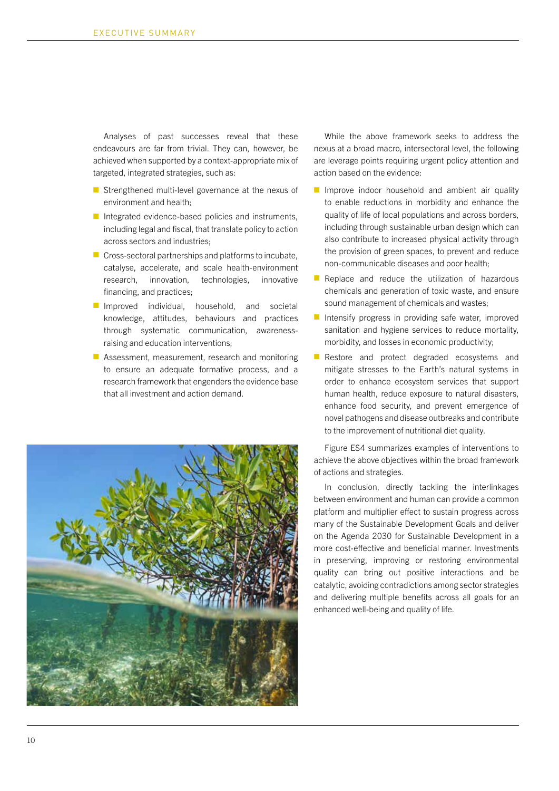Analyses of past successes reveal that these endeavours are far from trivial. They can, however, be achieved when supported by a context-appropriate mix of targeted, integrated strategies, such as:

- Strengthened multi-level governance at the nexus of environment and health;
- $\blacksquare$  Integrated evidence-based policies and instruments, including legal and fiscal, that translate policy to action across sectors and industries;
- $\blacksquare$  Cross-sectoral partnerships and platforms to incubate, catalyse, accelerate, and scale health-environment research, innovation, technologies, innovative financing, and practices;
- $\blacksquare$  Improved individual, household, and societal knowledge, attitudes, behaviours and practices through systematic communication, awarenessraising and education interventions;
- $\blacksquare$  Assessment, measurement, research and monitoring to ensure an adequate formative process, and a research framework that engenders the evidence base that all investment and action demand.



While the above framework seeks to address the nexus at a broad macro, intersectoral level, the following are leverage points requiring urgent policy attention and action based on the evidence:

- $\blacksquare$  Improve indoor household and ambient air quality to enable reductions in morbidity and enhance the quality of life of local populations and across borders, including through sustainable urban design which can also contribute to increased physical activity through the provision of green spaces, to prevent and reduce non-communicable diseases and poor health;
- $\blacksquare$  Replace and reduce the utilization of hazardous chemicals and generation of toxic waste, and ensure sound management of chemicals and wastes;
- $\blacksquare$  Intensify progress in providing safe water, improved sanitation and hygiene services to reduce mortality, morbidity, and losses in economic productivity;
- $\blacksquare$  Restore and protect degraded ecosystems and mitigate stresses to the Earth's natural systems in order to enhance ecosystem services that support human health, reduce exposure to natural disasters, enhance food security, and prevent emergence of novel pathogens and disease outbreaks and contribute to the improvement of nutritional diet quality.

Figure ES4 summarizes examples of interventions to achieve the above objectives within the broad framework of actions and strategies.

In conclusion, directly tackling the interlinkages between environment and human can provide a common platform and multiplier effect to sustain progress across many of the Sustainable Development Goals and deliver on the Agenda 2030 for Sustainable Development in a more cost-effective and beneficial manner. Investments in preserving, improving or restoring environmental quality can bring out positive interactions and be catalytic, avoiding contradictions among sector strategies and delivering multiple benefits across all goals for an enhanced well-being and quality of life.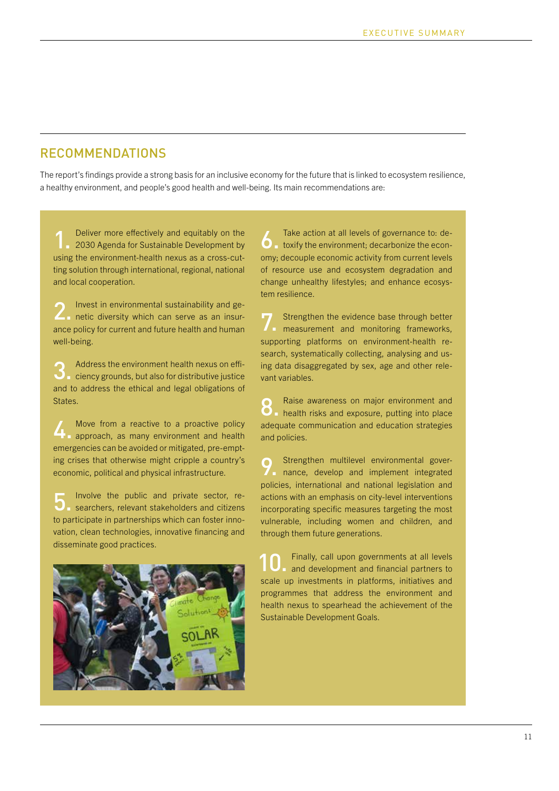#### **RECOMMENDATIONS**

The report's findings provide a strong basis for an inclusive economy for the future that is linked to ecosystem resilience, a healthy environment, and people's good health and well-being. Its main recommendations are:

Deliver more effectively and equitably on the 2030 Agenda for Sustainable Development by<br>
1. 2030 Agenda for Sustainable Development by using the environment-health nexus as a cross-cutting solution through international, regional, national and local cooperation.

Invest in environmental sustainability and ge-**2** Invest in environmental sustainability and general netic diversity which can serve as an insurance policy for current and future health and human well-being.

Address the environment health nexus on efficiency grounds, but also for distributive justice and to address the ethical and legal obligations of States. 3.

Move from a reactive to a proactive policy Move from a reactive to a proactive policy<br> **4.** approach, as many environment and health emergencies can be avoided or mitigated, pre-empting crises that otherwise might cripple a country's economic, political and physical infrastructure.

Involve the public and private sector, re-Involve the public and private sector, researchers, relevant stakeholders and citizens to participate in partnerships which can foster innovation, clean technologies, innovative financing and disseminate good practices.



Take action at all levels of governance to: de-Take action at all levels of governance to: de-<br>  $\bullet$  toxify the environment; decarbonize the economy; decouple economic activity from current levels of resource use and ecosystem degradation and change unhealthy lifestyles; and enhance ecosystem resilience.

Strengthen the evidence base through better The Strengthen the evidence base through better<br>measurement and monitoring frameworks, supporting platforms on environment-health research, systematically collecting, analysing and using data disaggregated by sex, age and other relevant variables.

Raise awareness on major environment and Raise awareness on major environment and<br> **8.** health risks and exposure, putting into place adequate communication and education strategies and policies.

Strengthen multilevel environmental governance, develop and implement integrated policies, international and national legislation and actions with an emphasis on city-level interventions incorporating specific measures targeting the most vulnerable, including women and children, and through them future generations. 9.

Finally, call upon governments at all levels and development and financial partners to scale up investments in platforms, initiatives and programmes that address the environment and health nexus to spearhead the achievement of the Sustainable Development Goals. 10.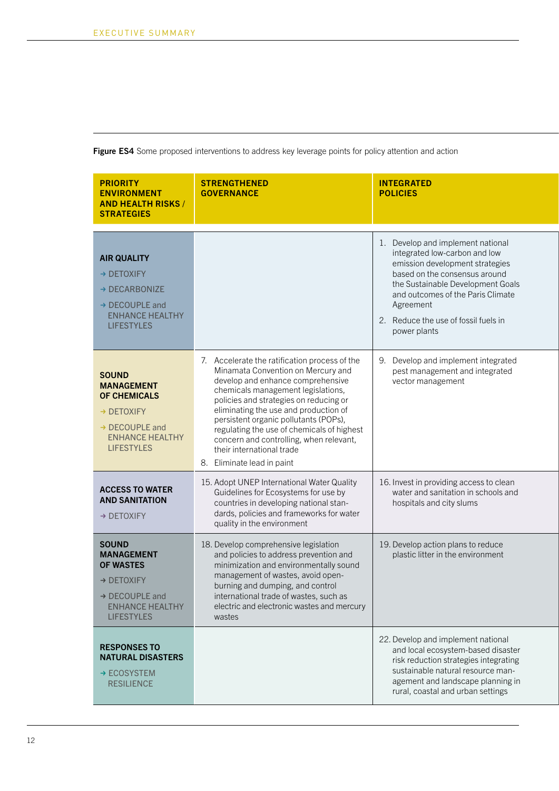| <b>PRIORITY</b><br><b>ENVIRONMENT</b><br><b>AND HEALTH RISKS /</b><br><b>STRATEGIES</b>                                                          | <b>STRENGTHENED</b><br><b>GOVERNANCE</b>                                                                                                                                                                                                                                                                                                                                                                                                       | <b>INTEGRATED</b><br><b>POLICIES</b>                                                                                                                                                                                                                                                  |
|--------------------------------------------------------------------------------------------------------------------------------------------------|------------------------------------------------------------------------------------------------------------------------------------------------------------------------------------------------------------------------------------------------------------------------------------------------------------------------------------------------------------------------------------------------------------------------------------------------|---------------------------------------------------------------------------------------------------------------------------------------------------------------------------------------------------------------------------------------------------------------------------------------|
| <b>AIR QUALITY</b><br>$\rightarrow$ DETOXIFY<br>$\rightarrow$ DECARBONIZE<br>→ DECOUPLE and<br><b>ENHANCE HEALTHY</b><br><b>LIFESTYLES</b>       |                                                                                                                                                                                                                                                                                                                                                                                                                                                | 1. Develop and implement national<br>integrated low-carbon and low<br>emission development strategies<br>based on the consensus around<br>the Sustainable Development Goals<br>and outcomes of the Paris Climate<br>Agreement<br>2. Reduce the use of fossil fuels in<br>power plants |
| <b>SOUND</b><br><b>MANAGEMENT</b><br><b>OF CHEMICALS</b><br>→ DETOXIFY<br>→ DECOUPLE and<br><b>ENHANCE HEALTHY</b><br><b>LIFESTYLES</b>          | 7. Accelerate the ratification process of the<br>Minamata Convention on Mercury and<br>develop and enhance comprehensive<br>chemicals management legislations,<br>policies and strategies on reducing or<br>eliminating the use and production of<br>persistent organic pollutants (POPs),<br>regulating the use of chemicals of highest<br>concern and controlling, when relevant,<br>their international trade<br>8. Eliminate lead in paint | 9. Develop and implement integrated<br>pest management and integrated<br>vector management                                                                                                                                                                                            |
| <b>ACCESS TO WATER</b><br><b>AND SANITATION</b><br>→ DETOXIFY                                                                                    | 15. Adopt UNEP International Water Quality<br>Guidelines for Ecosystems for use by<br>countries in developing national stan-<br>dards, policies and frameworks for water<br>quality in the environment                                                                                                                                                                                                                                         | 16. Invest in providing access to clean<br>water and sanitation in schools and<br>hospitals and city slums                                                                                                                                                                            |
| <b>SOUND</b><br><b>MANAGEMENT</b><br><b>OF WASTES</b><br>$\rightarrow$ DETOXIFY<br>→ DECOUPLE and<br><b>ENHANCE HEALTHY</b><br><b>LIFESTYLES</b> | 18. Develop comprehensive legislation<br>and policies to address prevention and<br>minimization and environmentally sound<br>management of wastes, avoid open-<br>burning and dumping, and control<br>international trade of wastes, such as<br>electric and electronic wastes and mercury<br>wastes                                                                                                                                           | 19. Develop action plans to reduce<br>plastic litter in the environment                                                                                                                                                                                                               |
| <b>RESPONSES TO</b><br><b>NATURAL DISASTERS</b><br>$\rightarrow$ ECOSYSTEM<br><b>RESILIENCE</b>                                                  |                                                                                                                                                                                                                                                                                                                                                                                                                                                | 22. Develop and implement national<br>and local ecosystem-based disaster<br>risk reduction strategies integrating<br>sustainable natural resource man-<br>agement and landscape planning in<br>rural, coastal and urban settings                                                      |

**Figure ES4** Some proposed interventions to address key leverage points for policy attention and action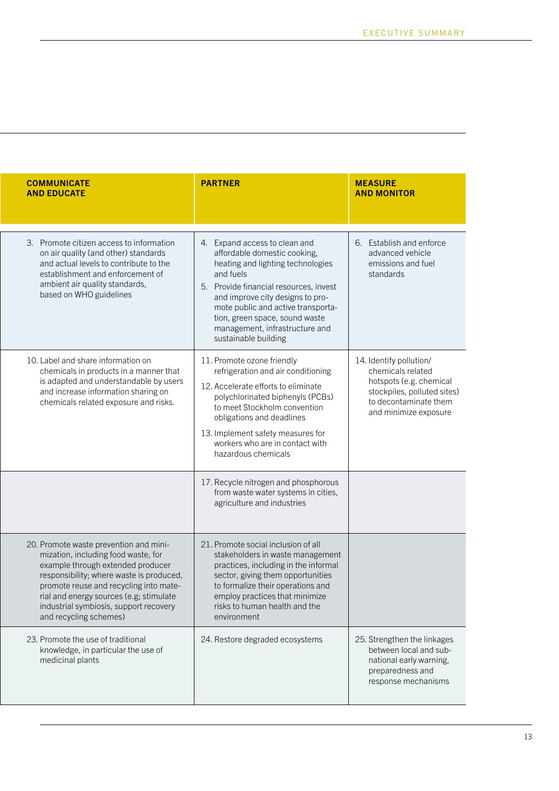| <b>COMMUNICATE</b><br><b>AND EDUCATE</b>                                                                                                                                                                                                                                                                                | <b>PARTNER</b>                                                                                                                                                                                                                                                                                                                  | <b>MEASURE</b><br><b>AND MONITOR</b>                                                                                                                     |
|-------------------------------------------------------------------------------------------------------------------------------------------------------------------------------------------------------------------------------------------------------------------------------------------------------------------------|---------------------------------------------------------------------------------------------------------------------------------------------------------------------------------------------------------------------------------------------------------------------------------------------------------------------------------|----------------------------------------------------------------------------------------------------------------------------------------------------------|
| 3. Promote citizen access to information<br>on air quality (and other) standards<br>and actual levels to contribute to the<br>establishment and enforcement of<br>ambient air quality standards,<br>based on WHO guidelines                                                                                             | 4. Expand access to clean and<br>affordable domestic cooking,<br>heating and lighting technologies<br>and fuels<br>5. Provide financial resources, invest<br>and improve city designs to pro-<br>mote public and active transporta-<br>tion, green space, sound waste<br>management, infrastructure and<br>sustainable building | 6. Establish and enforce<br>advanced vehicle<br>emissions and fuel<br>standards                                                                          |
| 10. Label and share information on<br>chemicals in products in a manner that<br>is adapted and understandable by users<br>and increase information sharing on<br>chemicals related exposure and risks.                                                                                                                  | 11. Promote ozone friendly<br>refrigeration and air conditioning<br>12. Accelerate efforts to eliminate<br>polychlorinated biphenyls (PCBs)<br>to meet Stockholm convention<br>obligations and deadlines<br>13. Implement safety measures for<br>workers who are in contact with<br>hazardous chemicals                         | 14. Identify pollution/<br>chemicals related<br>hotspots (e.g. chemical<br>stockpiles, polluted sites)<br>to decontaminate them<br>and minimize exposure |
|                                                                                                                                                                                                                                                                                                                         | 17. Recycle nitrogen and phosphorous<br>from waste water systems in cities,<br>agriculture and industries                                                                                                                                                                                                                       |                                                                                                                                                          |
| 20. Promote waste prevention and mini-<br>mization, including food waste, for<br>example through extended producer<br>responsibility; where waste is produced,<br>promote reuse and recycling into mate-<br>rial and energy sources (e.g; stimulate<br>industrial symbiosis, support recovery<br>and recycling schemes) | 21. Promote social inclusion of all<br>stakeholders in waste management<br>practices, including in the informal<br>sector, giving them opportunities<br>to formalize their operations and<br>employ practices that minimize<br>risks to human health and the<br>environment                                                     |                                                                                                                                                          |
| 23. Promote the use of traditional<br>knowledge, in particular the use of<br>medicinal plants                                                                                                                                                                                                                           | 24. Restore degraded ecosystems                                                                                                                                                                                                                                                                                                 | 25. Strengthen the linkages<br>between local and sub-<br>national early warning,<br>preparedness and<br>response mechanisms                              |